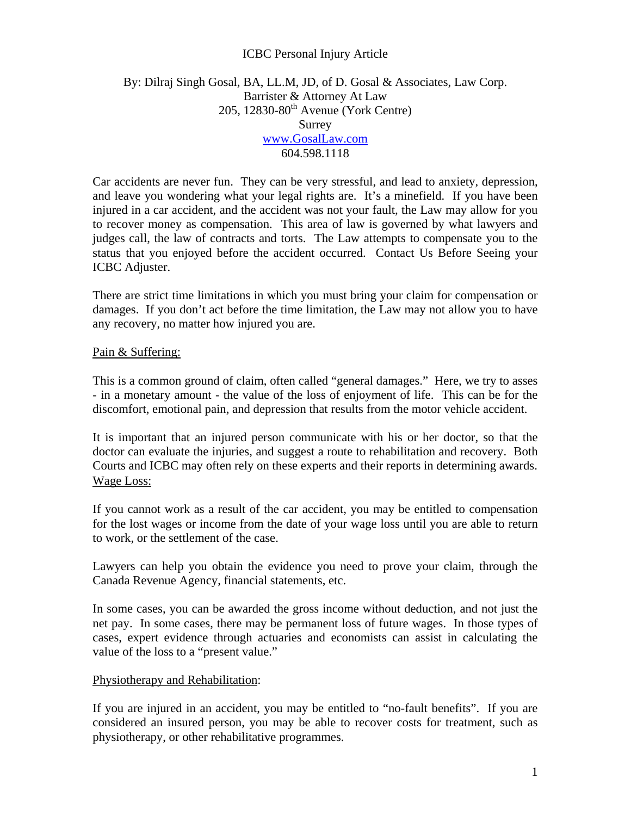## ICBC Personal Injury Article

## By: Dilraj Singh Gosal, BA, LL.M, JD, of D. Gosal & Associates, Law Corp. Barrister & Attorney At Law  $205$ , 12830-80<sup>th</sup> Avenue (York Centre) Surrey [www.GosalLaw.com](http://www.gosallaw.com/) 604.598.1118

Car accidents are never fun. They can be very stressful, and lead to anxiety, depression, and leave you wondering what your legal rights are. It's a minefield. If you have been injured in a car accident, and the accident was not your fault, the Law may allow for you to recover money as compensation. This area of law is governed by what lawyers and judges call, the law of contracts and torts. The Law attempts to compensate you to the status that you enjoyed before the accident occurred. Contact Us Before Seeing your ICBC Adjuster.

There are strict time limitations in which you must bring your claim for compensation or damages. If you don't act before the time limitation, the Law may not allow you to have any recovery, no matter how injured you are.

#### Pain & Suffering:

This is a common ground of claim, often called "general damages." Here, we try to asses - in a monetary amount - the value of the loss of enjoyment of life. This can be for the discomfort, emotional pain, and depression that results from the motor vehicle accident.

It is important that an injured person communicate with his or her doctor, so that the doctor can evaluate the injuries, and suggest a route to rehabilitation and recovery. Both Courts and ICBC may often rely on these experts and their reports in determining awards. Wage Loss:

If you cannot work as a result of the car accident, you may be entitled to compensation for the lost wages or income from the date of your wage loss until you are able to return to work, or the settlement of the case.

Lawyers can help you obtain the evidence you need to prove your claim, through the Canada Revenue Agency, financial statements, etc.

In some cases, you can be awarded the gross income without deduction, and not just the net pay. In some cases, there may be permanent loss of future wages. In those types of cases, expert evidence through actuaries and economists can assist in calculating the value of the loss to a "present value."

#### Physiotherapy and Rehabilitation:

If you are injured in an accident, you may be entitled to "no-fault benefits". If you are considered an insured person, you may be able to recover costs for treatment, such as physiotherapy, or other rehabilitative programmes.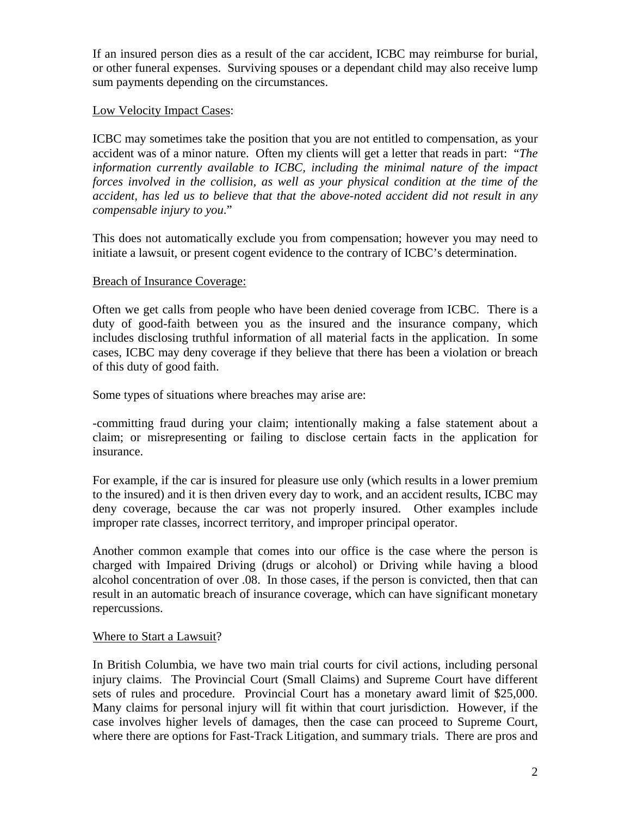If an insured person dies as a result of the car accident, ICBC may reimburse for burial, or other funeral expenses. Surviving spouses or a dependant child may also receive lump sum payments depending on the circumstances.

# Low Velocity Impact Cases:

ICBC may sometimes take the position that you are not entitled to compensation, as your accident was of a minor nature. Often my clients will get a letter that reads in part: "*The information currently available to ICBC, including the minimal nature of the impact forces involved in the collision, as well as your physical condition at the time of the accident, has led us to believe that that the above-noted accident did not result in any compensable injury to you*."

This does not automatically exclude you from compensation; however you may need to initiate a lawsuit, or present cogent evidence to the contrary of ICBC's determination.

## Breach of Insurance Coverage:

Often we get calls from people who have been denied coverage from ICBC. There is a duty of good-faith between you as the insured and the insurance company, which includes disclosing truthful information of all material facts in the application. In some cases, ICBC may deny coverage if they believe that there has been a violation or breach of this duty of good faith.

Some types of situations where breaches may arise are:

-committing fraud during your claim; intentionally making a false statement about a claim; or misrepresenting or failing to disclose certain facts in the application for insurance.

For example, if the car is insured for pleasure use only (which results in a lower premium to the insured) and it is then driven every day to work, and an accident results, ICBC may deny coverage, because the car was not properly insured. Other examples include improper rate classes, incorrect territory, and improper principal operator.

Another common example that comes into our office is the case where the person is charged with Impaired Driving (drugs or alcohol) or Driving while having a blood alcohol concentration of over .08. In those cases, if the person is convicted, then that can result in an automatic breach of insurance coverage, which can have significant monetary repercussions.

## Where to Start a Lawsuit?

In British Columbia, we have two main trial courts for civil actions, including personal injury claims. The Provincial Court (Small Claims) and Supreme Court have different sets of rules and procedure. Provincial Court has a monetary award limit of \$25,000. Many claims for personal injury will fit within that court jurisdiction. However, if the case involves higher levels of damages, then the case can proceed to Supreme Court, where there are options for Fast-Track Litigation, and summary trials. There are pros and